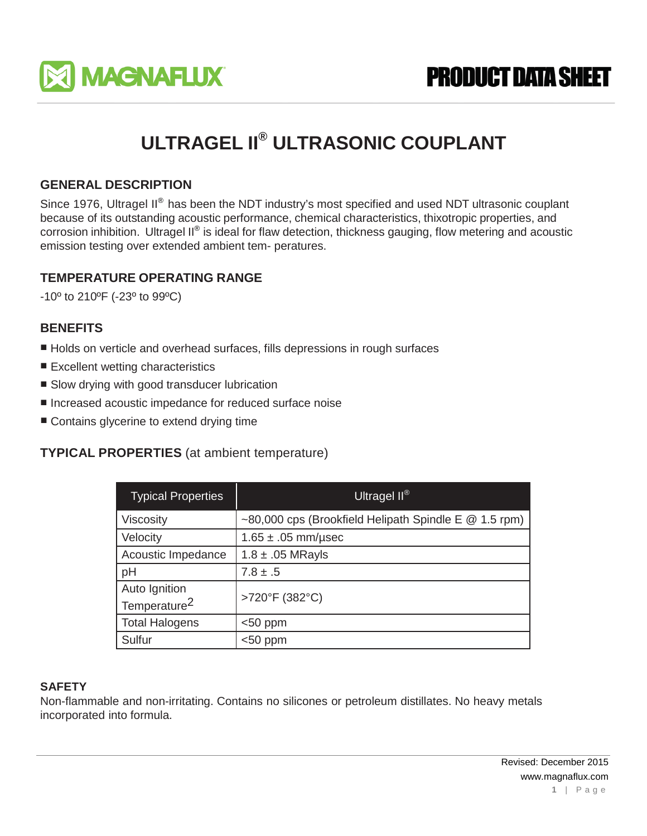

**PRODUCT DATA SHEET** 

# **ULTRAGEL II® ULTRASONIC COUPLANT**

# **GENERAL DESCRIPTION**

Since 1976, Ultragel II<sup>®</sup> has been the NDT industry's most specified and used NDT ultrasonic couplant because of its outstanding acoustic performance, chemical characteristics, thixotropic properties, and corrosion inhibition. Ultragel II® is ideal for flaw detection, thickness gauging, flow metering and acoustic emission testing over extended ambient tem- peratures.

## **TEMPERATURE OPERATING RANGE**

-10º to 210ºF (-23º to 99ºC)

## **BENEFITS**

- Holds on verticle and overhead surfaces, fills depressions in rough surfaces
- Excellent wetting characteristics
- Slow drying with good transducer lubrication
- Increased acoustic impedance for reduced surface noise
- Contains glycerine to extend drying time

## **TYPICAL PROPERTIES** (at ambient temperature)

| <b>Typical Properties</b> | Ultragel $II^{\circledR}$                               |
|---------------------------|---------------------------------------------------------|
| Viscosity                 | ~80,000 cps (Brookfield Helipath Spindle E $@$ 1.5 rpm) |
| Velocity                  | $1.65 \pm .05$ mm/usec                                  |
| Acoustic Impedance        | $1.8 \pm .05$ MRayls                                    |
| pH                        | $7.8 \pm .5$                                            |
| Auto Ignition             | >720°F (382°C)                                          |
| Temperature <sup>2</sup>  |                                                         |
| <b>Total Halogens</b>     | $<$ 50 ppm                                              |
| Sulfur                    | $<$ 50 ppm                                              |

#### **SAFETY**

Non-flammable and non-irritating. Contains no silicones or petroleum distillates. No heavy metals incorporated into formula.